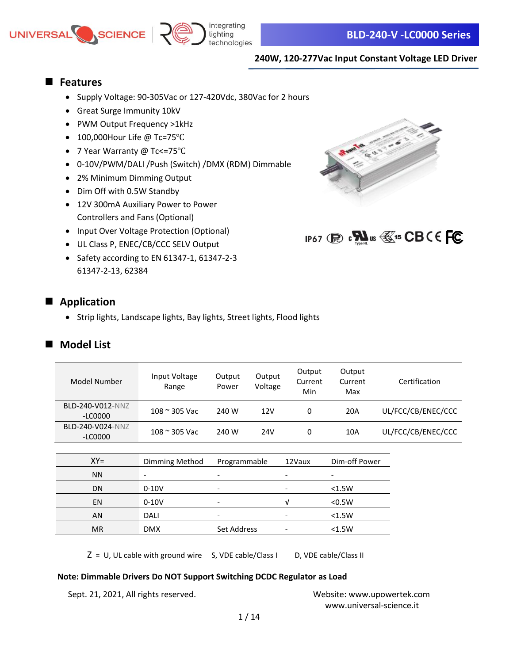

# ■ **Features**

- Supply Voltage: 90-305Vac or 127-420Vdc, 380Vac for 2 hours
- Great Surge Immunity 10kV
- PWM Output Frequency >1kHz
- 100,000Hour Life @ Tc=75℃
- 7 Year Warranty @ Tc<=75℃
- 0-10V/PWM/DALI /Push (Switch) /DMX (RDM) Dimmable
- 2% Minimum Dimming Output
- Dim Off with 0.5W Standby
- 12V 300mA Auxiliary Power to Power Controllers and Fans (Optional)
- Input Over Voltage Protection (Optional)
- UL Class P, ENEC/CB/CCC SELV Output
- Safety according to EN 61347-1, 61347-2-3 61347-2-13, 62384

# ■ **Application**

• Strip lights, Landscape lights, Bay lights, Street lights, Flood lights

# ■ **Model List**

| Model Number                  | Input Voltage<br>Range | Output<br>Power          | Output<br>Voltage | Output<br>Current<br>Min | Output<br>Current<br>Max | Certification      |
|-------------------------------|------------------------|--------------------------|-------------------|--------------------------|--------------------------|--------------------|
| BLD-240-V012-NNZ<br>-LC0000   | $108 \approx 305$ Vac  | 240 W                    | 12V               | 0                        | 20A                      | UL/FCC/CB/ENEC/CCC |
| BLD-240-V024-NNZ<br>$-LCOOOO$ | $108 \approx 305$ Vac  | 240 W                    | 24 <sub>V</sub>   | 0                        | 10A                      | UL/FCC/CB/ENEC/CCC |
|                               |                        |                          |                   |                          |                          |                    |
| $XY=$                         | Dimming Method         | Programmable             |                   | 12Vaux                   | Dim-off Power            |                    |
| <b>NN</b>                     | ۰                      | -                        |                   |                          | -                        |                    |
| <b>DN</b>                     | $0-10V$                | $\overline{\phantom{a}}$ |                   |                          | < 1.5W                   |                    |
| EN                            | $0-10V$                | $\overline{\phantom{a}}$ |                   | v                        | < 0.5W                   |                    |
| AN                            | <b>DALI</b>            | $\overline{\phantom{a}}$ |                   |                          | < 1.5W                   |                    |
| <b>MR</b>                     | <b>DMX</b>             | Set Address              |                   |                          | < 1.5W                   |                    |

 $Z = U$ , UL cable with ground wire S, VDE cable/Class I D, VDE cable/Class II

### **Note: Dimmable Drivers Do NOT Support Switching DCDC Regulator as Load**

Sept. 21, 2021, All rights reserved. Website: [www.upowertek.com](http://www.upowertek.com/)

[www.universal-science.it](https://www.universal-science.it/) 



IP67 (R) **: N**us **W**<sup>15</sup> CBCE FC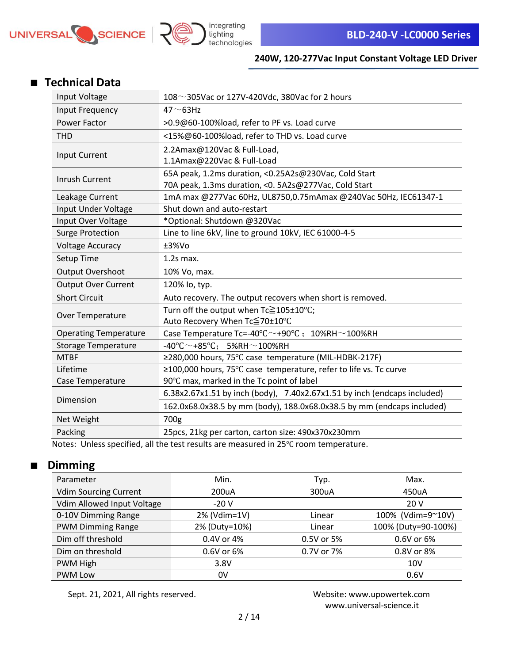



# ■ **Technical Data**

| Input Voltage                | 108 $\sim$ 305Vac or 127V-420Vdc, 380Vac for 2 hours                               |  |
|------------------------------|------------------------------------------------------------------------------------|--|
| Input Frequency              | $47 - 63$ Hz                                                                       |  |
| Power Factor                 | >0.9@60-100%load, refer to PF vs. Load curve                                       |  |
| <b>THD</b>                   | <15%@60-100%load, refer to THD vs. Load curve                                      |  |
| <b>Input Current</b>         | 2.2Amax@120Vac & Full-Load,                                                        |  |
|                              | 1.1Amax@220Vac & Full-Load                                                         |  |
| Inrush Current               | 65A peak, 1.2ms duration, <0.25A2s@230Vac, Cold Start                              |  |
|                              | 70A peak, 1.3ms duration, < 0. 5A2s@277Vac, Cold Start                             |  |
| Leakage Current              | 1mA max @277Vac 60Hz, UL8750,0.75mAmax @240Vac 50Hz, IEC61347-1                    |  |
| Input Under Voltage          | Shut down and auto-restart                                                         |  |
| Input Over Voltage           | *Optional: Shutdown @320Vac                                                        |  |
| <b>Surge Protection</b>      | Line to line 6kV, line to ground 10kV, IEC 61000-4-5                               |  |
| <b>Voltage Accuracy</b>      | ±3%Vo                                                                              |  |
| Setup Time                   | $1.2s$ max.                                                                        |  |
| Output Overshoot             | 10% Vo, max.                                                                       |  |
| <b>Output Over Current</b>   | 120% lo, typ.                                                                      |  |
| <b>Short Circuit</b>         | Auto recovery. The output recovers when short is removed.                          |  |
| Over Temperature             | Turn off the output when Tc≧105±10°C;                                              |  |
|                              | Auto Recovery When Tc≦70±10°C                                                      |  |
| <b>Operating Temperature</b> | Case Temperature Tc=-40 $\degree$ C $\sim$ +90 $\degree$ C; 10%RH $\sim$ 100%RH    |  |
| <b>Storage Temperature</b>   | $-40^{\circ}$ C $\sim$ +85 $^{\circ}$ C: 5%RH $\sim$ 100%RH                        |  |
| <b>MTBF</b>                  | ≥280,000 hours, 75°C case temperature (MIL-HDBK-217F)                              |  |
| Lifetime                     | ≥100,000 hours, 75°C case temperature, refer to life vs. To curve                  |  |
| Case Temperature             | 90°C max, marked in the Tc point of label                                          |  |
| Dimension                    | 6.38x2.67x1.51 by inch (body), 7.40x2.67x1.51 by inch (endcaps included)           |  |
|                              | 162.0x68.0x38.5 by mm (body), 188.0x68.0x38.5 by mm (endcaps included)             |  |
| Net Weight                   | 700g                                                                               |  |
| Packing                      | 25pcs, 21kg per carton, carton size: 490x370x230mm                                 |  |
|                              | Notes: Unless specified, all the test results are measured in 25% room temperature |  |

Notes: Unless specified, all the test results are measured in 25℃ room temperature.

# ■ **Dimming**

| Parameter                    | Min.          | Typ.       | Max.                |
|------------------------------|---------------|------------|---------------------|
| <b>Vdim Sourcing Current</b> | 200uA         | 300uA      | 450uA               |
| Vdim Allowed Input Voltage   | $-20V$        |            | 20V                 |
| 0-10V Dimming Range          | 2% (Vdim=1V)  | Linear     | 100% (Vdim=9~10V)   |
| <b>PWM Dimming Range</b>     | 2% (Duty=10%) | Linear     | 100% (Duty=90-100%) |
| Dim off threshold            | 0.4V or 4%    | 0.5V or 5% | 0.6V or 6%          |
| Dim on threshold             | 0.6V or 6%    | 0.7V or 7% | 0.8V or 8%          |
| PWM High                     | 3.8V          |            | 10 <sub>V</sub>     |
| <b>PWM Low</b>               | 0V            |            | 0.6V                |

Sept. 21, 2021, All rights reserved. Website: [www.upowertek.com](http://www.upowertek.com/)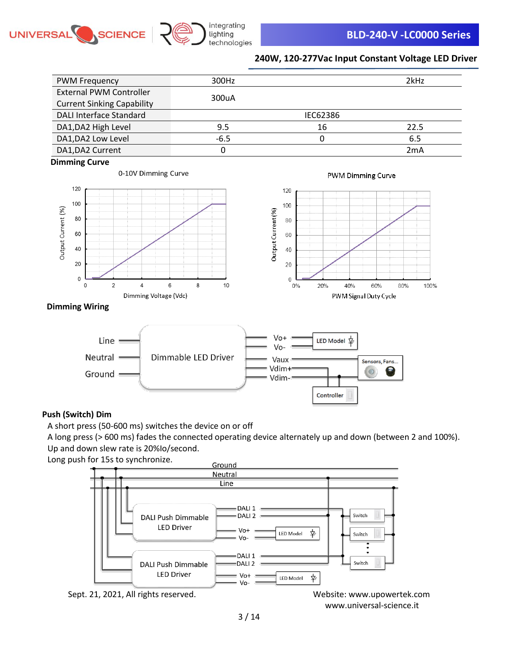



| <b>PWM Frequency</b>              | 300Hz  |          | 2kHz |
|-----------------------------------|--------|----------|------|
| <b>External PWM Controller</b>    | 300uA  |          |      |
| <b>Current Sinking Capability</b> |        |          |      |
| <b>DALI Interface Standard</b>    |        | IEC62386 |      |
| DA1, DA2 High Level               | 9.5    | 16       | 22.5 |
| DA1, DA2 Low Level                | $-6.5$ |          | 6.5  |
| DA1, DA2 Current                  |        |          | 2mA  |





0-10V Dimming Curve

PWM Dimming Curve



### **Dimming Wiring**



### **Push (Switch) Dim**

A short press (50-600 ms) switches the device on or off

A long press (> 600 ms) fades the connected operating device alternately up and down (between 2 and 100%). Up and down slew rate is 20%Io/second.

Long push for 15s to synchronize.



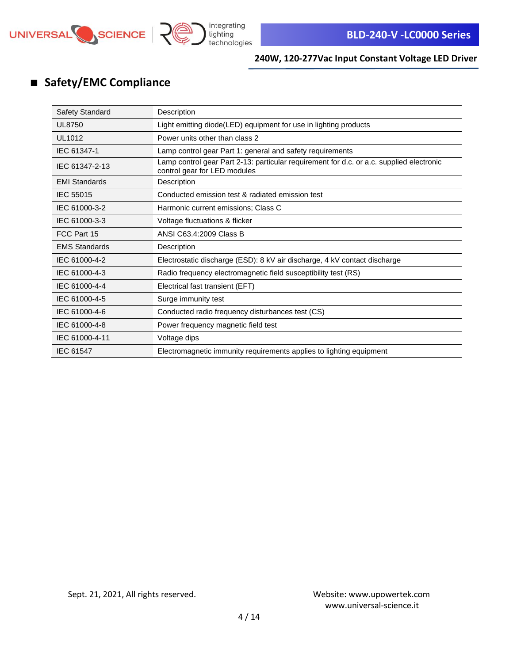

# ■ **Safety/EMC Compliance**

| Safety Standard      | Description                                                                                                              |
|----------------------|--------------------------------------------------------------------------------------------------------------------------|
| <b>UL8750</b>        | Light emitting diode(LED) equipment for use in lighting products                                                         |
| UL1012               | Power units other than class 2                                                                                           |
| IEC 61347-1          | Lamp control gear Part 1: general and safety requirements                                                                |
| IEC 61347-2-13       | Lamp control gear Part 2-13: particular requirement for d.c. or a.c. supplied electronic<br>control gear for LED modules |
| <b>EMI Standards</b> | Description                                                                                                              |
| <b>IEC 55015</b>     | Conducted emission test & radiated emission test                                                                         |
| IEC 61000-3-2        | Harmonic current emissions; Class C                                                                                      |
| IEC 61000-3-3        | Voltage fluctuations & flicker                                                                                           |
| FCC Part 15          | ANSI C63.4:2009 Class B                                                                                                  |
| <b>EMS Standards</b> | Description                                                                                                              |
| IEC 61000-4-2        | Electrostatic discharge (ESD): 8 kV air discharge, 4 kV contact discharge                                                |
| IEC 61000-4-3        | Radio frequency electromagnetic field susceptibility test (RS)                                                           |
| IEC 61000-4-4        | Electrical fast transient (EFT)                                                                                          |
| IEC 61000-4-5        | Surge immunity test                                                                                                      |
| IEC 61000-4-6        | Conducted radio frequency disturbances test (CS)                                                                         |
| IEC 61000-4-8        | Power frequency magnetic field test                                                                                      |
| IEC 61000-4-11       | Voltage dips                                                                                                             |
| IEC 61547            | Electromagnetic immunity requirements applies to lighting equipment                                                      |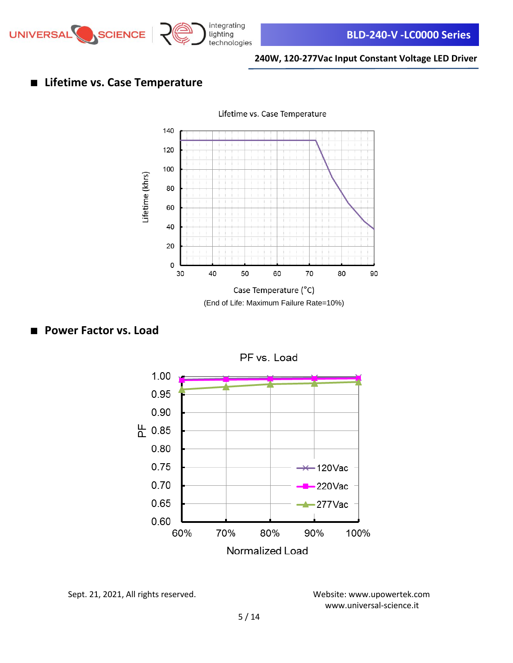

# ■ **Lifetime vs. Case Temperature**



(End of Life: Maximum Failure Rate=10%)

# ■ **Power Factor vs. Load**



Sept. 21, 2021, All rights reserved. Website: [www.upowertek.com](http://www.upowertek.com/)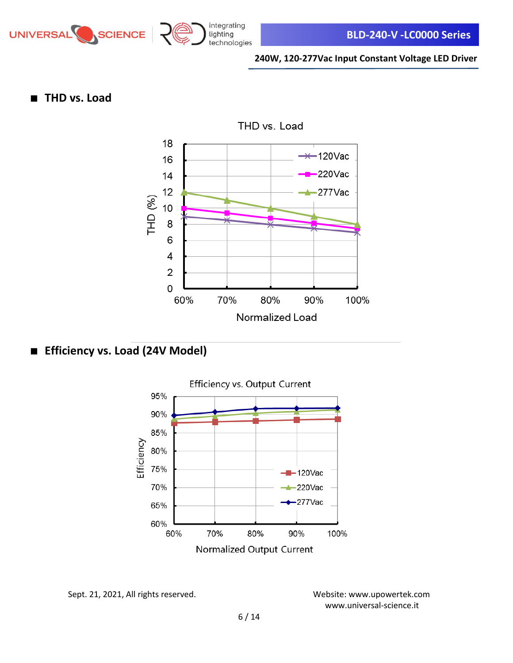

# ■ **THD vs. Load**



■ **Efficiency vs. Load (24V Model)**



Sept. 21, 2021, All rights reserved. Website: [www.upowertek.com](http://www.upowertek.com/)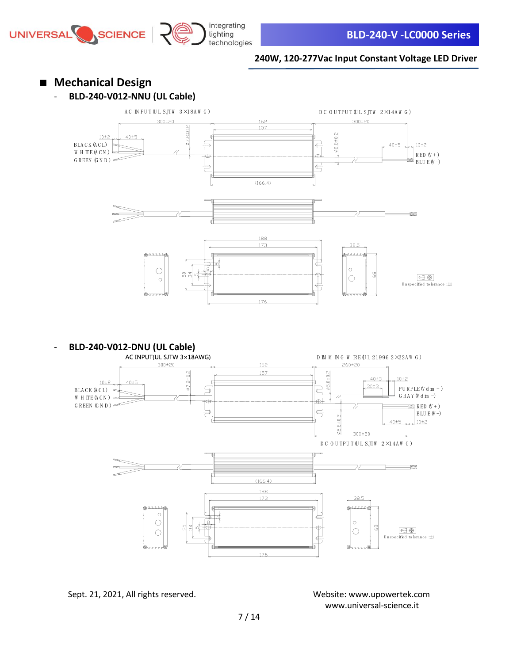

■ **Mechanical Design** - **BLD-240-V012-NNU (UL Cable)** AC IN PUT (UL SJTW  $3 \times 18$ AW G) D C O U TPU T (U L SJTW 2×14AW G)  $300 \pm 20$  $300 \pm 20$ 162 157  $5.04526$ **Ø8.8±0.2**  $10±2$  $40±5$ B LA C K (A C L) ₽ ₽  $40±5$  $10 ± 2$ W H ITE (ACN)  $RED (V + )$ æ ĸ₩ G REEN (G N D )  $\overline{max}$  $\equiv$  BLU E(V -)  $\overline{\oplus}$ ⇒  $(166.4)$ <u> 188</u>  $173$ Þļ € Гē  $\circ$  $\bigcirc$ 5  $\oplus$  $\bigoplus \bigoplus$  $\bigcirc$  $\circ$ ₫ U n sp ecified to leran ce :±1 176 **BLD-240-V012-DNU (UL Cable)**<br>AC INPUT(UL SJTW 3×18AWG) D M M N G W RE UL 21996 2  $\times$  22AW G)  $300 \pm 20$ 260±20 162 57.8±0.2 157  $0.0106$  $40 + 5$  $10±2$  $10±2$  $40±5$  $30±3$  $PU$  R P L E  $(V$  d im  $+$  ) B LA C K (A C L) 写  $\Leftrightarrow$ G RAY (V d im  $-$ ) W H ITE (ACN) кŧ কা G REEN (G N D )  $\infty$  $\mathbb{R}$  RED  $(V + )$  $\overline{\epsilon}$  $BLU E(V-)$  $\frac{2}{10}$  $40±5$  $10±2$ ବ୍ଧ 300±20  $DCOUTPUT(ULSTW 2×14AW G)$  $\overline{\phantom{a}}$  $(166.4)$ 188 173  $38.5$  $\circ$ ╘  $\circ$ 

 $\circ$ 

[www.universal-science.it](https://www.universal-science.it/) 

 $\circ$ 

 $\circ$ 

đ

 $\overline{\text{to len}}$  to lerance  $:\pm 1$ 

 $\bigoplus$ 

176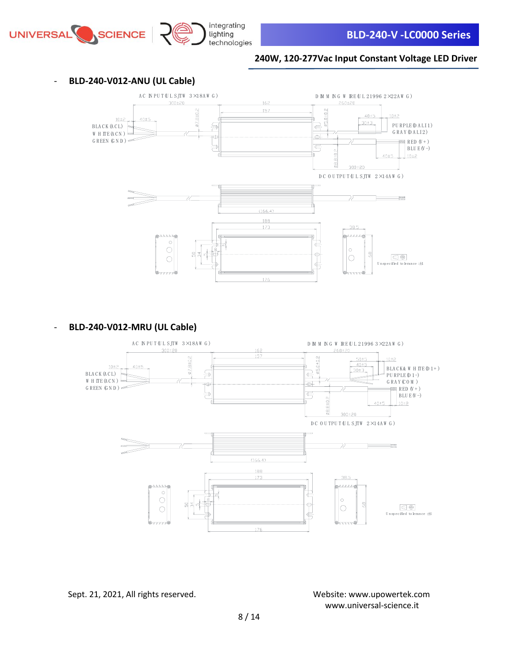





integrating

#### - **BLD-240-V012-MRU (UL Cable)**

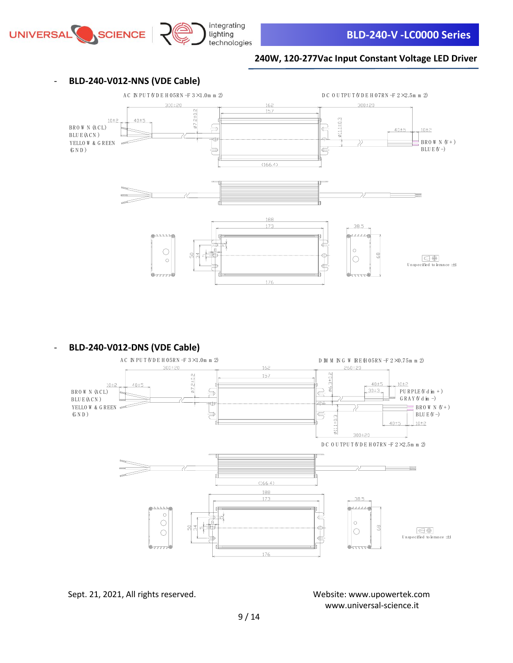





- **BLD-240-V012-DNS (VDE Cable)**



Sept. 21, 2021, All rights reserved. Website: [www.upowertek.com](http://www.upowertek.com/)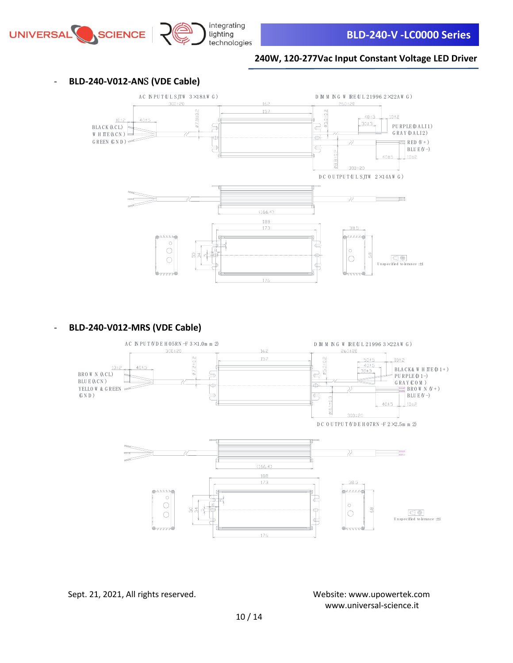

### - **BLD-240-V012-AN**S **(VDE Cable)**



### - **BLD-240-V012-MRS (VDE Cable)**



Sept. 21, 2021, All rights reserved. Website: [www.upowertek.com](http://www.upowertek.com/)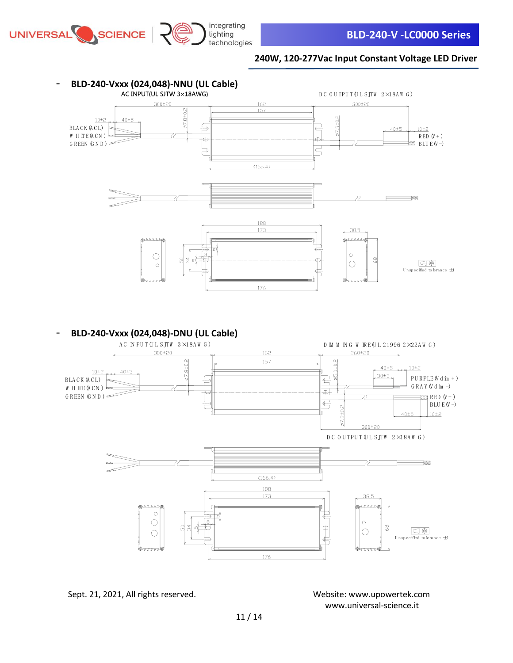



# - **BLD-240-Vxxx (024,048)-DNU (UL Cable)**



Sept. 21, 2021, All rights reserved. Website: [www.upowertek.com](http://www.upowertek.com/)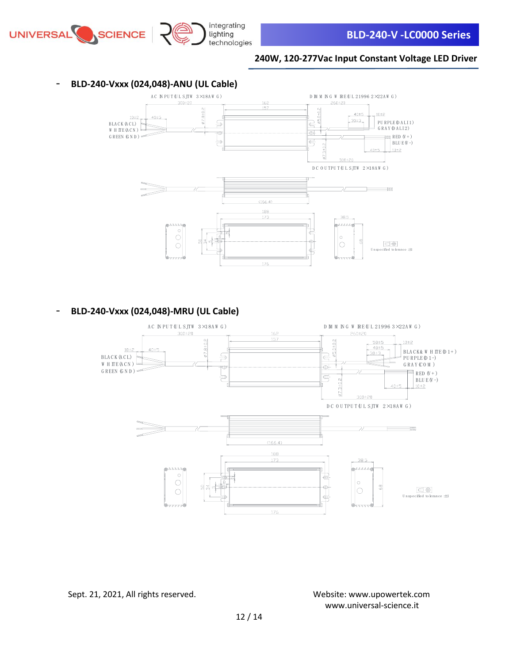



- **BLD-240-Vxxx (024,048)-MRU (UL Cable)**

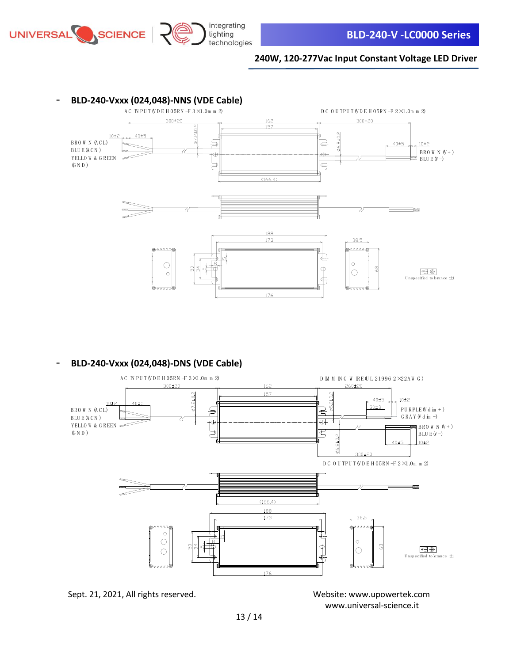

integrating

#### **240W, 120-277Vac Input Constant Voltage LED Driver**



- **BLD-240-Vxxx (024,048)-DNS (VDE Cable)**



Sept. 21, 2021, All rights reserved. Website: [www.upowertek.com](http://www.upowertek.com/)